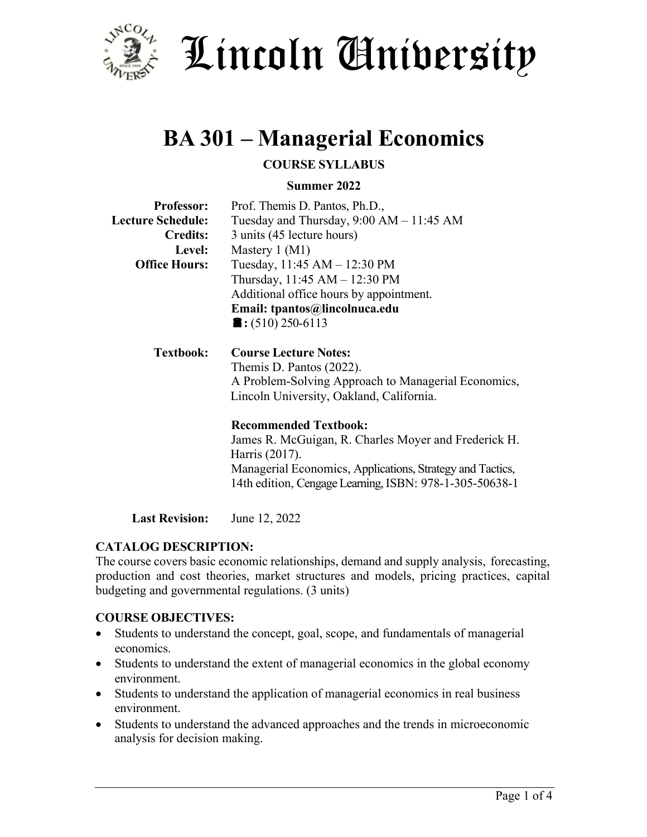

# Lincoln University

# **BA 301 – Managerial Economics**

# **COURSE SYLLABUS**

#### **Summer 2022**

| <b>Professor:</b>        | Prof. Themis D. Pantos, Ph.D.,                            |  |  |  |  |
|--------------------------|-----------------------------------------------------------|--|--|--|--|
| <b>Lecture Schedule:</b> | Tuesday and Thursday, $9:00 AM - 11:45 AM$                |  |  |  |  |
| <b>Credits:</b>          | 3 units (45 lecture hours)                                |  |  |  |  |
| <b>Level:</b>            | Mastery $1 (M1)$                                          |  |  |  |  |
| <b>Office Hours:</b>     | Tuesday, 11:45 AM - 12:30 PM                              |  |  |  |  |
|                          | Thursday, 11:45 AM - 12:30 PM                             |  |  |  |  |
|                          | Additional office hours by appointment.                   |  |  |  |  |
|                          | Email: tpantos@lincolnuca.edu                             |  |  |  |  |
|                          | $\blacksquare$ : (510) 250-6113                           |  |  |  |  |
|                          |                                                           |  |  |  |  |
| <b>Textbook:</b>         | <b>Course Lecture Notes:</b>                              |  |  |  |  |
|                          | Themis D. Pantos (2022).                                  |  |  |  |  |
|                          | A Problem-Solving Approach to Managerial Economics,       |  |  |  |  |
|                          | Lincoln University, Oakland, California.                  |  |  |  |  |
|                          |                                                           |  |  |  |  |
|                          | <b>Recommended Textbook:</b>                              |  |  |  |  |
|                          | James R. McGuigan, R. Charles Moyer and Frederick H.      |  |  |  |  |
|                          | Harris (2017).                                            |  |  |  |  |
|                          | Managerial Economics, Applications, Strategy and Tactics, |  |  |  |  |
|                          | 14th edition, Cengage Learning, ISBN: 978-1-305-50638-1   |  |  |  |  |
|                          |                                                           |  |  |  |  |

**Last Revision:** June 12, 2022

#### **CATALOG DESCRIPTION:**

The course covers basic economic relationships, demand and supply analysis, forecasting, production and cost theories, market structures and models, pricing practices, capital budgeting and governmental regulations. (3 units)

#### **COURSE OBJECTIVES:**

- Students to understand the concept, goal, scope, and fundamentals of managerial economics.
- Students to understand the extent of managerial economics in the global economy environment.
- Students to understand the application of managerial economics in real business environment.
- Students to understand the advanced approaches and the trends in microeconomic analysis for decision making.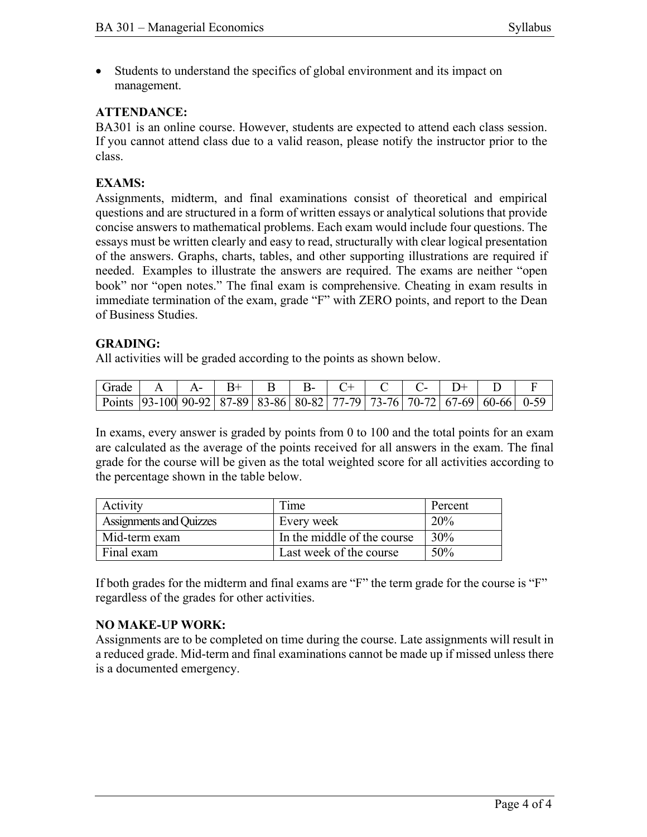• Students to understand the specifics of global environment and its impact on management.

### **ATTENDANCE:**

BA301 is an online course. However, students are expected to attend each class session. If you cannot attend class due to a valid reason, please notify the instructor prior to the class.

#### **EXAMS:**

Assignments, midterm, and final examinations consist of theoretical and empirical questions and are structured in a form of written essays or analytical solutions that provide concise answers to mathematical problems. Each exam would include four questions. The essays must be written clearly and easy to read, structurally with clear logical presentation of the answers. Graphs, charts, tables, and other supporting illustrations are required if needed. Examples to illustrate the answers are required. The exams are neither "open book" nor "open notes." The final exam is comprehensive. Cheating in exam results in immediate termination of the exam, grade "F" with ZERO points, and report to the Dean of Business Studies.

#### **GRADING:**

All activities will be graded according to the points as shown below.

| Grade                                                                                        |  |  |  |  |  |  |
|----------------------------------------------------------------------------------------------|--|--|--|--|--|--|
| Points   93-100 90-92   87-89   83-86   80-82   77-79   73-76   70-72   67-69   60-66   0-59 |  |  |  |  |  |  |

In exams, every answer is graded by points from 0 to 100 and the total points for an exam are calculated as the average of the points received for all answers in the exam. The final grade for the course will be given as the total weighted score for all activities according to the percentage shown in the table below.

| Activity                | Time                        | Percent |
|-------------------------|-----------------------------|---------|
| Assignments and Quizzes | Every week                  | 20%     |
| Mid-term exam           | In the middle of the course | $30\%$  |
| Final exam              | Last week of the course     | 50%     |

If both grades for the midterm and final exams are "F" the term grade for the course is "F" regardless of the grades for other activities.

#### **NO MAKE-UP WORK:**

Assignments are to be completed on time during the course. Late assignments will result in a reduced grade. Mid-term and final examinations cannot be made up if missed unless there is a documented emergency.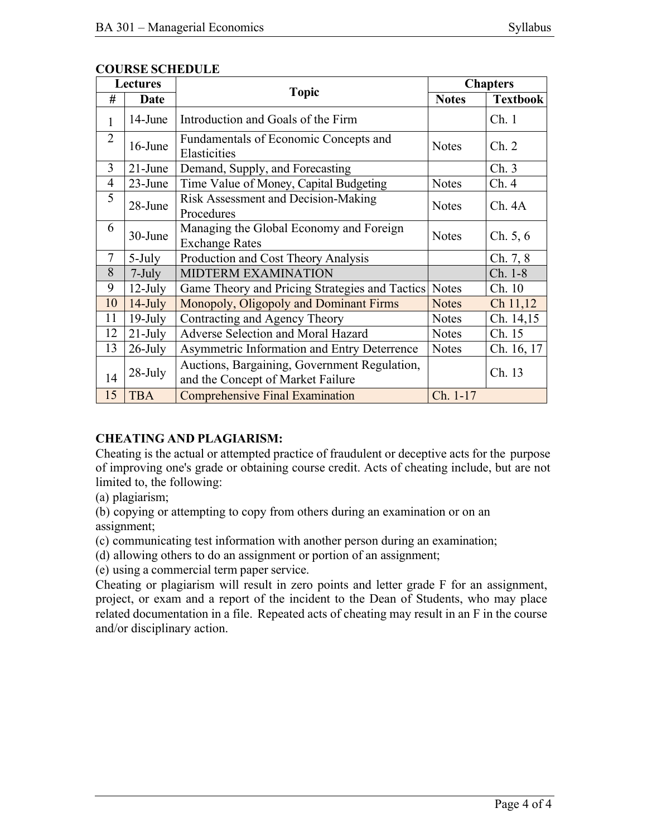| <b>Lectures</b> |            |                                                                                   | <b>Chapters</b> |                 |  |
|-----------------|------------|-----------------------------------------------------------------------------------|-----------------|-----------------|--|
| #               | Date       | <b>Topic</b>                                                                      | <b>Notes</b>    | <b>Textbook</b> |  |
| 1               | 14-June    | Introduction and Goals of the Firm                                                |                 | Ch.1            |  |
| $\overline{2}$  | 16-June    | Fundamentals of Economic Concepts and<br>Elasticities                             | <b>Notes</b>    | Ch. 2           |  |
| 3               | $21$ -June | Demand, Supply, and Forecasting                                                   |                 | Ch.3            |  |
| $\overline{4}$  | $23$ -June | Time Value of Money, Capital Budgeting                                            | <b>Notes</b>    | Ch.4            |  |
| 5               | 28-June    | Risk Assessment and Decision-Making<br>Procedures                                 | <b>Notes</b>    | Ch.4A           |  |
| 6               | 30-June    | Managing the Global Economy and Foreign<br><b>Exchange Rates</b>                  | <b>Notes</b>    | Ch. 5, 6        |  |
| 7               | 5-July     | Production and Cost Theory Analysis                                               |                 | Ch. 7, 8        |  |
| 8               | $7$ -July  | <b>MIDTERM EXAMINATION</b>                                                        |                 | Ch. 1-8         |  |
| 9               | $12$ -July | Game Theory and Pricing Strategies and Tactics Notes                              |                 | Ch. 10          |  |
| 10              | $14$ -July | Monopoly, Oligopoly and Dominant Firms                                            | <b>Notes</b>    | Ch 11,12        |  |
| 11              | $19$ -July | Contracting and Agency Theory                                                     | <b>Notes</b>    | Ch. 14,15       |  |
| 12              | $21$ -July | Adverse Selection and Moral Hazard                                                | <b>Notes</b>    | Ch. 15          |  |
| 13              | $26$ -July | Asymmetric Information and Entry Deterrence                                       | <b>Notes</b>    | Ch. 16, 17      |  |
| 14              | 28-July    | Auctions, Bargaining, Government Regulation,<br>and the Concept of Market Failure |                 | Ch. 13          |  |
| 15              | <b>TBA</b> | <b>Comprehensive Final Examination</b>                                            | Ch. 1-17        |                 |  |

#### **COURSE SCHEDULE**

# **CHEATING AND PLAGIARISM:**

Cheating is the actual or attempted practice of fraudulent or deceptive acts for the purpose of improving one's grade or obtaining course credit. Acts of cheating include, but are not limited to, the following:

(a) plagiarism;

(b) copying or attempting to copy from others during an examination or on an assignment;

(c) communicating test information with another person during an examination;

(d) allowing others to do an assignment or portion of an assignment;

(e) using a commercial term paper service.

Cheating or plagiarism will result in zero points and letter grade F for an assignment, project, or exam and a report of the incident to the Dean of Students, who may place related documentation in a file. Repeated acts of cheating may result in an F in the course and/or disciplinary action.